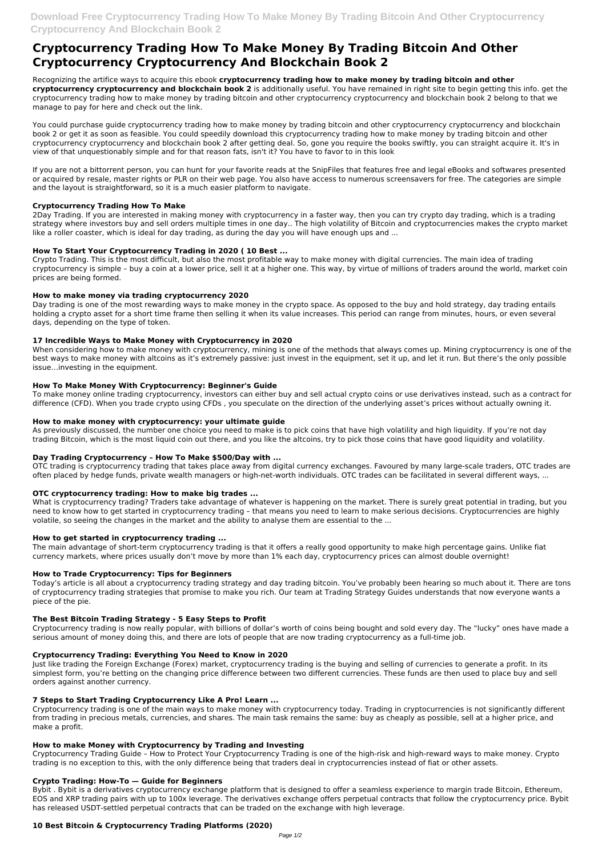# **Cryptocurrency Trading How To Make Money By Trading Bitcoin And Other Cryptocurrency Cryptocurrency And Blockchain Book 2**

Recognizing the artifice ways to acquire this ebook **cryptocurrency trading how to make money by trading bitcoin and other cryptocurrency cryptocurrency and blockchain book 2** is additionally useful. You have remained in right site to begin getting this info. get the cryptocurrency trading how to make money by trading bitcoin and other cryptocurrency cryptocurrency and blockchain book 2 belong to that we manage to pay for here and check out the link.

You could purchase guide cryptocurrency trading how to make money by trading bitcoin and other cryptocurrency cryptocurrency and blockchain book 2 or get it as soon as feasible. You could speedily download this cryptocurrency trading how to make money by trading bitcoin and other cryptocurrency cryptocurrency and blockchain book 2 after getting deal. So, gone you require the books swiftly, you can straight acquire it. It's in view of that unquestionably simple and for that reason fats, isn't it? You have to favor to in this look

If you are not a bittorrent person, you can hunt for your favorite reads at the SnipFiles that features free and legal eBooks and softwares presented or acquired by resale, master rights or PLR on their web page. You also have access to numerous screensavers for free. The categories are simple and the layout is straightforward, so it is a much easier platform to navigate.

# **Cryptocurrency Trading How To Make**

2Day Trading. If you are interested in making money with cryptocurrency in a faster way, then you can try crypto day trading, which is a trading strategy where investors buy and sell orders multiple times in one day.. The high volatility of Bitcoin and cryptocurrencies makes the crypto market like a roller coaster, which is ideal for day trading, as during the day you will have enough ups and ...

# **How To Start Your Cryptocurrency Trading in 2020 ( 10 Best ...**

Crypto Trading. This is the most difficult, but also the most profitable way to make money with digital currencies. The main idea of trading cryptocurrency is simple – buy a coin at a lower price, sell it at a higher one. This way, by virtue of millions of traders around the world, market coin prices are being formed.

# **How to make money via trading cryptocurrency 2020**

Day trading is one of the most rewarding ways to make money in the crypto space. As opposed to the buy and hold strategy, day trading entails holding a crypto asset for a short time frame then selling it when its value increases. This period can range from minutes, hours, or even several days, depending on the type of token.

# **17 Incredible Ways to Make Money with Cryptocurrency in 2020**

When considering how to make money with cryptocurrency, mining is one of the methods that always comes up. Mining cryptocurrency is one of the best ways to make money with altcoins as it's extremely passive: just invest in the equipment, set it up, and let it run. But there's the only possible issue…investing in the equipment.

# **How To Make Money With Cryptocurrency: Beginner's Guide**

To make money online trading cryptocurrency, investors can either buy and sell actual crypto coins or use derivatives instead, such as a contract for difference (CFD). When you trade crypto using CFDs , you speculate on the direction of the underlying asset's prices without actually owning it.

# **How to make money with cryptocurrency: your ultimate guide**

As previously discussed, the number one choice you need to make is to pick coins that have high volatility and high liquidity. If you're not day trading Bitcoin, which is the most liquid coin out there, and you like the altcoins, try to pick those coins that have good liquidity and volatility.

# **Day Trading Cryptocurrency – How To Make \$500/Day with ...**

OTC trading is cryptocurrency trading that takes place away from digital currency exchanges. Favoured by many large-scale traders, OTC trades are often placed by hedge funds, private wealth managers or high-net-worth individuals. OTC trades can be facilitated in several different ways, ...

# **OTC cryptocurrency trading: How to make big trades ...**

What is cryptocurrency trading? Traders take advantage of whatever is happening on the market. There is surely great potential in trading, but you need to know how to get started in cryptocurrency trading – that means you need to learn to make serious decisions. Cryptocurrencies are highly volatile, so seeing the changes in the market and the ability to analyse them are essential to the ...

# **How to get started in cryptocurrency trading ...**

The main advantage of short-term cryptocurrency trading is that it offers a really good opportunity to make high percentage gains. Unlike fiat currency markets, where prices usually don't move by more than 1% each day, cryptocurrency prices can almost double overnight!

# **How to Trade Cryptocurrency: Tips for Beginners**

Today's article is all about a cryptocurrency trading strategy and day trading bitcoin. You've probably been hearing so much about it. There are tons of cryptocurrency trading strategies that promise to make you rich. Our team at Trading Strategy Guides understands that now everyone wants a piece of the pie.

# **The Best Bitcoin Trading Strategy - 5 Easy Steps to Profit**

Cryptocurrency trading is now really popular, with billions of dollar's worth of coins being bought and sold every day. The "lucky" ones have made a serious amount of money doing this, and there are lots of people that are now trading cryptocurrency as a full-time job.

#### **Cryptocurrency Trading: Everything You Need to Know in 2020**

Just like trading the Foreign Exchange (Forex) market, cryptocurrency trading is the buying and selling of currencies to generate a profit. In its simplest form, you're betting on the changing price difference between two different currencies. These funds are then used to place buy and sell orders against another currency.

#### **7 Steps to Start Trading Cryptocurrency Like A Pro! Learn ...**

Cryptocurrency trading is one of the main ways to make money with cryptocurrency today. Trading in cryptocurrencies is not significantly different from trading in precious metals, currencies, and shares. The main task remains the same: buy as cheaply as possible, sell at a higher price, and make a profit.

#### **How to make Money with Cryptocurrency by Trading and Investing**

Cryptocurrency Trading Guide – How to Protect Your Cryptocurrency Trading is one of the high-risk and high-reward ways to make money. Crypto trading is no exception to this, with the only difference being that traders deal in cryptocurrencies instead of fiat or other assets.

#### **Crypto Trading: How-To — Guide for Beginners**

Bybit . Bybit is a derivatives cryptocurrency exchange platform that is designed to offer a seamless experience to margin trade Bitcoin, Ethereum, EOS and XRP trading pairs with up to 100x leverage. The derivatives exchange offers perpetual contracts that follow the cryptocurrency price. Bybit has released USDT-settled perpetual contracts that can be traded on the exchange with high leverage.

#### **10 Best Bitcoin & Cryptocurrency Trading Platforms (2020)**